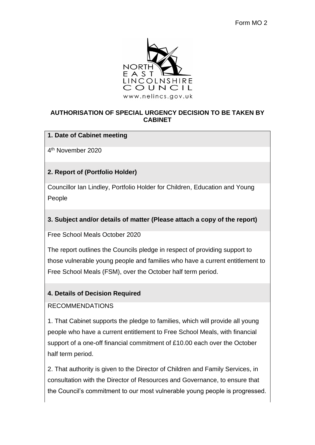

## **AUTHORISATION OF SPECIAL URGENCY DECISION TO BE TAKEN BY CABINET**

## **1. Date of Cabinet meeting**

4 th November 2020

# **2. Report of (Portfolio Holder)**

Councillor Ian Lindley, Portfolio Holder for Children, Education and Young People

# **3. Subject and/or details of matter (Please attach a copy of the report)**

Free School Meals October 2020

The report outlines the Councils pledge in respect of providing support to those vulnerable young people and families who have a current entitlement to Free School Meals (FSM), over the October half term period.

## **4. Details of Decision Required**

#### RECOMMENDATIONS

1. That Cabinet supports the pledge to families, which will provide all young people who have a current entitlement to Free School Meals, with financial support of a one-off financial commitment of £10.00 each over the October half term period.

2. That authority is given to the Director of Children and Family Services, in consultation with the Director of Resources and Governance, to ensure that the Council's commitment to our most vulnerable young people is progressed.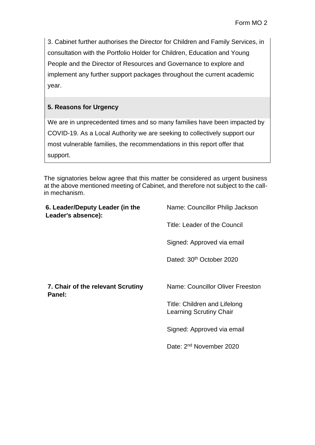3. Cabinet further authorises the Director for Children and Family Services, in consultation with the Portfolio Holder for Children, Education and Young People and the Director of Resources and Governance to explore and implement any further support packages throughout the current academic year.

# **5. Reasons for Urgency**

We are in unprecedented times and so many families have been impacted by COVID-19. As a Local Authority we are seeking to collectively support our most vulnerable families, the recommendations in this report offer that support.

The signatories below agree that this matter be considered as urgent business at the above mentioned meeting of Cabinet, and therefore not subject to the callin mechanism.

| 6. Leader/Deputy Leader (in the<br>Leader's absence): | Name: Councillor Philip Jackson                                |
|-------------------------------------------------------|----------------------------------------------------------------|
|                                                       | Title: Leader of the Council                                   |
|                                                       | Signed: Approved via email                                     |
|                                                       | Dated: 30 <sup>th</sup> October 2020                           |
|                                                       |                                                                |
| 7. Chair of the relevant Scrutiny<br>Panel:           | Name: Councillor Oliver Freeston                               |
|                                                       | Title: Children and Lifelong<br><b>Learning Scrutiny Chair</b> |
|                                                       | Signed: Approved via email                                     |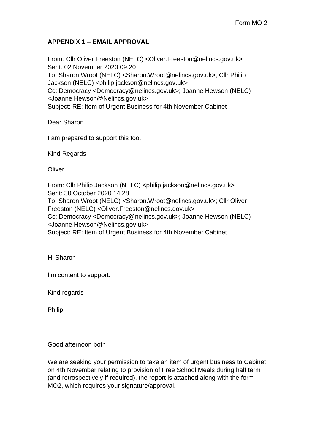## **APPENDIX 1 – EMAIL APPROVAL**

From: Cllr Oliver Freeston (NELC) <Oliver.Freeston@nelincs.gov.uk> Sent: 02 November 2020 09:20 To: Sharon Wroot (NELC) <Sharon.Wroot@nelincs.gov.uk>; Cllr Philip Jackson (NELC) <philip.jackson@nelincs.gov.uk> Cc: Democracy <Democracy@nelincs.gov.uk>; Joanne Hewson (NELC) <Joanne.Hewson@Nelincs.gov.uk> Subject: RE: Item of Urgent Business for 4th November Cabinet

Dear Sharon

I am prepared to support this too.

Kind Regards

**Oliver** 

From: Cllr Philip Jackson (NELC) <philip.jackson@nelincs.gov.uk> Sent: 30 October 2020 14:28 To: Sharon Wroot (NELC) <Sharon.Wroot@nelincs.gov.uk>; Cllr Oliver Freeston (NELC) <Oliver.Freeston@nelincs.gov.uk> Cc: Democracy <Democracy@nelincs.gov.uk>; Joanne Hewson (NELC) <Joanne.Hewson@Nelincs.gov.uk> Subject: RE: Item of Urgent Business for 4th November Cabinet

Hi Sharon

I'm content to support.

Kind regards

Philip

Good afternoon both

We are seeking your permission to take an item of urgent business to Cabinet on 4th November relating to provision of Free School Meals during half term (and retrospectively if required), the report is attached along with the form MO2, which requires your signature/approval.